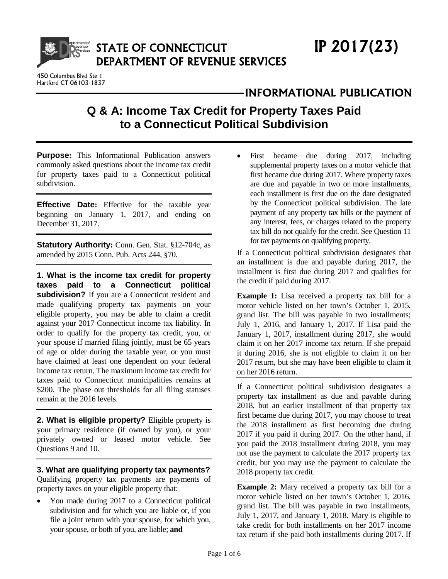

450 Columbus Blvd Ste 1 Hartford CT 06103-1837

# **INFORMATIONAL PUBLICATION**

# **Q & A: Income Tax Credit for Property Taxes Paid to a Connecticut Political Subdivision**

**Purpose:** This Informational Publication answers commonly asked questions about the income tax credit for property taxes paid to a Connecticut political subdivision.

**Effective Date:** Effective for the taxable year beginning on January 1, 2017, and ending on December 31, 2017.

**Statutory Authority:** Conn. Gen. Stat. §12-704c, as amended by 2015 Conn. Pub. Acts 244, §70.

**1. What is the income tax credit for property taxes paid to a Connecticut political subdivision?** If you are a Connecticut resident and made qualifying property tax payments on your eligible property, you may be able to claim a credit against your 2017 Connecticut income tax liability. In order to qualify for the property tax credit, you, or your spouse if married filing jointly, must be 65 years of age or older during the taxable year, or you must have claimed at least one dependent on your federal income tax return. The maximum income tax credit for taxes paid to Connecticut municipalities remains at \$200. The phase out thresholds for all filing statuses remain at the 2016 levels.

**2. What is eligible property?** Eligible property is your primary residence (if owned by you), or your privately owned or leased motor vehicle. See Questions 9 and 10.

**3. What are qualifying property tax payments?**  Qualifying property tax payments are payments of property taxes on your eligible property that:

• You made during 2017 to a Connecticut political subdivision and for which you are liable or, if you file a joint return with your spouse, for which you, your spouse, or both of you, are liable; **and**

• First became due during 2017, including supplemental property taxes on a motor vehicle that first became due during 2017. Where property taxes are due and payable in two or more installments, each installment is first due on the date designated by the Connecticut political subdivision. The late payment of any property tax bills or the payment of any interest, fees, or charges related to the property tax bill do not qualify for the credit. See Question 11 for tax payments on qualifying property.

If a Connecticut political subdivision designates that an installment is due and payable during 2017, the installment is first due during 2017 and qualifies for the credit if paid during 2017.

**Example 1:** Lisa received a property tax bill for a motor vehicle listed on her town's October 1, 2015, grand list. The bill was payable in two installments; July 1, 2016, and January 1, 2017. If Lisa paid the January 1, 2017, installment during 2017, she would claim it on her 2017 income tax return. If she prepaid it during 2016, she is not eligible to claim it on her 2017 return, but she may have been eligible to claim it on her 2016 return.

If a Connecticut political subdivision designates a property tax installment as due and payable during 2018, but an earlier installment of that property tax first became due during 2017, you may choose to treat the 2018 installment as first becoming due during 2017 if you paid it during 2017. On the other hand, if you paid the 2018 installment during 2018, you may not use the payment to calculate the 2017 property tax credit, but you may use the payment to calculate the 2018 property tax credit.

**Example 2:** Mary received a property tax bill for a motor vehicle listed on her town's October 1, 2016, grand list. The bill was payable in two installments, July 1, 2017, and January 1, 2018. Mary is eligible to take credit for both installments on her 2017 income tax return if she paid both installments during 2017. If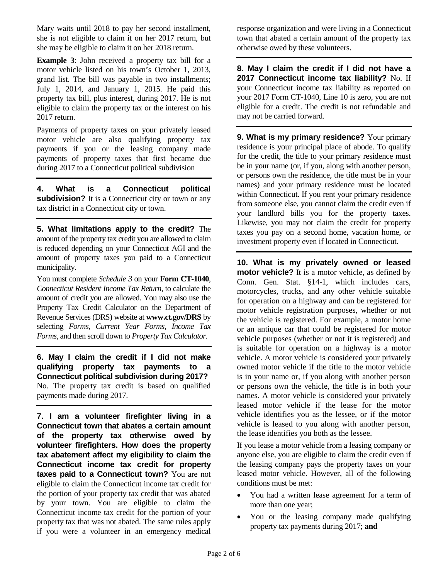Mary waits until 2018 to pay her second installment, she is not eligible to claim it on her 2017 return, but she may be eligible to claim it on her 2018 return.

**Example 3**: John received a property tax bill for a motor vehicle listed on his town's October 1, 2013, grand list. The bill was payable in two installments; July 1, 2014, and January 1, 2015. He paid this property tax bill, plus interest, during 2017. He is not eligible to claim the property tax or the interest on his 2017 return.

Payments of property taxes on your privately leased motor vehicle are also qualifying property tax payments if you or the leasing company made payments of property taxes that first became due during 2017 to a Connecticut political subdivision

**4. What is a Connecticut political subdivision?** It is a Connecticut city or town or any tax district in a Connecticut city or town.

**5. What limitations apply to the credit?** The amount of the property tax credit you are allowed to claim is reduced depending on your Connecticut AGI and the amount of property taxes you paid to a Connecticut municipality.

You must complete *Schedule 3* on your **Form CT-1040**, *Connecticut Resident Income Tax Return,* to calculate the amount of credit you are allowed. You may also use the Property Tax Credit Calculator on the Department of Revenue Services (DRS) website at **www.ct.gov/DRS** by selecting *Forms, Current Year Forms, Income Tax Forms*, and then scroll down to *Property Tax Calculator.*

**6. May I claim the credit if I did not make qualifying property tax payments to a Connecticut political subdivision during 2017?** No. The property tax credit is based on qualified payments made during 2017.

**7. I am a volunteer firefighter living in a Connecticut town that abates a certain amount of the property tax otherwise owed by volunteer firefighters. How does the property tax abatement affect my eligibility to claim the Connecticut income tax credit for property taxes paid to a Connecticut town?** You are not eligible to claim the Connecticut income tax credit for the portion of your property tax credit that was abated by your town. You are eligible to claim the Connecticut income tax credit for the portion of your property tax that was not abated. The same rules apply if you were a volunteer in an emergency medical

response organization and were living in a Connecticut town that abated a certain amount of the property tax otherwise owed by these volunteers.

**8. May I claim the credit if I did not have a 2017 Connecticut income tax liability?** No. If your Connecticut income tax liability as reported on your 2017 Form CT-1040, Line 10 is zero, you are not eligible for a credit. The credit is not refundable and may not be carried forward.

**9. What is my primary residence?** Your primary residence is your principal place of abode. To qualify for the credit, the title to your primary residence must be in your name (or, if you, along with another person, or persons own the residence, the title must be in your names) and your primary residence must be located within Connecticut. If you rent your primary residence from someone else, you cannot claim the credit even if your landlord bills you for the property taxes. Likewise, you may not claim the credit for property taxes you pay on a second home, vacation home, or investment property even if located in Connecticut.

**10. What is my privately owned or leased motor vehicle?** It is a motor vehicle, as defined by Conn. Gen. Stat. §14-1, which includes cars, motorcycles, trucks, and any other vehicle suitable for operation on a highway and can be registered for motor vehicle registration purposes, whether or not the vehicle is registered. For example, a motor home or an antique car that could be registered for motor vehicle purposes (whether or not it is registered) and is suitable for operation on a highway is a motor vehicle. A motor vehicle is considered your privately owned motor vehicle if the title to the motor vehicle is in your name or, if you along with another person or persons own the vehicle, the title is in both your names. A motor vehicle is considered your privately leased motor vehicle if the lease for the motor vehicle identifies you as the lessee, or if the motor vehicle is leased to you along with another person, the lease identifies you both as the lessee.

If you lease a motor vehicle from a leasing company or anyone else, you are eligible to claim the credit even if the leasing company pays the property taxes on your leased motor vehicle. However, all of the following conditions must be met:

- You had a written lease agreement for a term of more than one year;
- You or the leasing company made qualifying property tax payments during 2017; **and**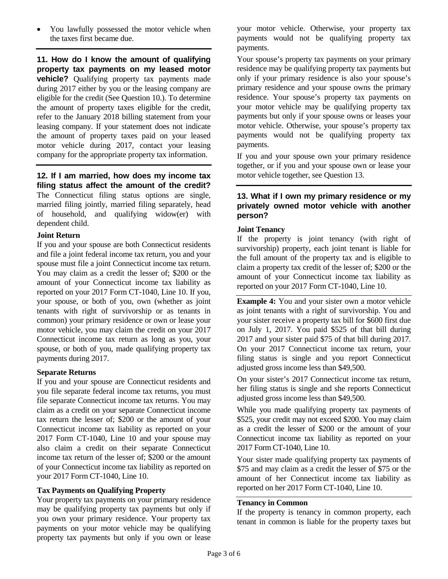• You lawfully possessed the motor vehicle when the taxes first became due.

**11. How do I know the amount of qualifying property tax payments on my leased motor vehicle?** Qualifying property tax payments made during 2017 either by you or the leasing company are eligible for the credit (See Question 10.). To determine the amount of property taxes eligible for the credit, refer to the January 2018 billing statement from your leasing company. If your statement does not indicate the amount of property taxes paid on your leased motor vehicle during 2017, contact your leasing company for the appropriate property tax information.

**12. If I am married, how does my income tax filing status affect the amount of the credit?**  The Connecticut filing status options are single, married filing jointly, married filing separately, head of household, and qualifying widow(er) with dependent child.

#### **Joint Return**

If you and your spouse are both Connecticut residents and file a joint federal income tax return, you and your spouse must file a joint Connecticut income tax return. You may claim as a credit the lesser of; \$200 or the amount of your Connecticut income tax liability as reported on your 2017 Form CT-1040, Line 10. If you, your spouse, or both of you, own (whether as joint tenants with right of survivorship or as tenants in common) your primary residence or own or lease your motor vehicle, you may claim the credit on your 2017 Connecticut income tax return as long as you, your spouse, or both of you, made qualifying property tax payments during 2017.

#### **Separate Returns**

If you and your spouse are Connecticut residents and you file separate federal income tax returns, you must file separate Connecticut income tax returns. You may claim as a credit on your separate Connecticut income tax return the lesser of; \$200 or the amount of your Connecticut income tax liability as reported on your 2017 Form CT-1040, Line 10 and your spouse may also claim a credit on their separate Connecticut income tax return of the lesser of; \$200 or the amount of your Connecticut income tax liability as reported on your 2017 Form CT-1040, Line 10.

## **Tax Payments on Qualifying Property**

Your property tax payments on your primary residence may be qualifying property tax payments but only if you own your primary residence. Your property tax payments on your motor vehicle may be qualifying property tax payments but only if you own or lease your motor vehicle. Otherwise, your property tax payments would not be qualifying property tax payments.

Your spouse's property tax payments on your primary residence may be qualifying property tax payments but only if your primary residence is also your spouse's primary residence and your spouse owns the primary residence. Your spouse's property tax payments on your motor vehicle may be qualifying property tax payments but only if your spouse owns or leases your motor vehicle. Otherwise, your spouse's property tax payments would not be qualifying property tax payments.

If you and your spouse own your primary residence together, or if you and your spouse own or lease your motor vehicle together, see Question 13.

# **13. What if I own my primary residence or my privately owned motor vehicle with another person?**

# **Joint Tenancy**

If the property is joint tenancy (with right of survivorship) property, each joint tenant is liable for the full amount of the property tax and is eligible to claim a property tax credit of the lesser of; \$200 or the amount of your Connecticut income tax liability as reported on your 2017 Form CT-1040, Line 10.

**Example 4:** You and your sister own a motor vehicle as joint tenants with a right of survivorship. You and your sister receive a property tax bill for \$600 first due on July 1, 2017. You paid \$525 of that bill during 2017 and your sister paid \$75 of that bill during 2017. On your 2017 Connecticut income tax return, your filing status is single and you report Connecticut adjusted gross income less than \$49,500.

On your sister's 2017 Connecticut income tax return, her filing status is single and she reports Connecticut adjusted gross income less than \$49,500.

While you made qualifying property tax payments of \$525, your credit may not exceed \$200. You may claim as a credit the lesser of \$200 or the amount of your Connecticut income tax liability as reported on your 2017 Form CT-1040, Line 10.

Your sister made qualifying property tax payments of \$75 and may claim as a credit the lesser of \$75 or the amount of her Connecticut income tax liability as reported on her 2017 Form CT-1040, Line 10.

#### **Tenancy in Common**

If the property is tenancy in common property, each tenant in common is liable for the property taxes but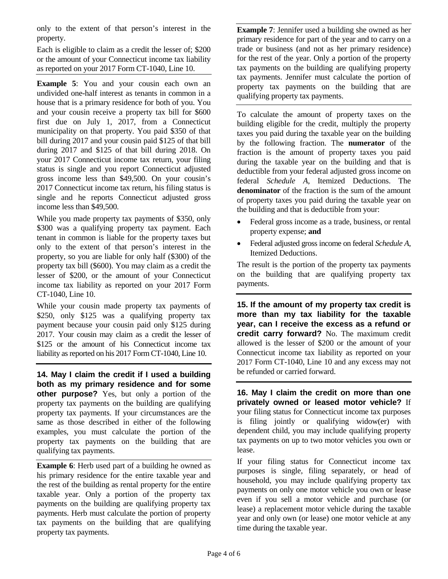only to the extent of that person's interest in the property.

Each is eligible to claim as a credit the lesser of; \$200 or the amount of your Connecticut income tax liability as reported on your 2017 Form CT-1040, Line 10.

**Example 5**: You and your cousin each own an undivided one-half interest as tenants in common in a house that is a primary residence for both of you. You and your cousin receive a property tax bill for \$600 first due on July 1, 2017, from a Connecticut municipality on that property. You paid \$350 of that bill during 2017 and your cousin paid \$125 of that bill during 2017 and \$125 of that bill during 2018. On your 2017 Connecticut income tax return, your filing status is single and you report Connecticut adjusted gross income less than \$49,500. On your cousin's 2017 Connecticut income tax return, his filing status is single and he reports Connecticut adjusted gross income less than \$49,500.

While you made property tax payments of \$350, only \$300 was a qualifying property tax payment. Each tenant in common is liable for the property taxes but only to the extent of that person's interest in the property, so you are liable for only half (\$300) of the property tax bill (\$600). You may claim as a credit the lesser of \$200, or the amount of your Connecticut income tax liability as reported on your 2017 Form CT-1040, Line 10.

While your cousin made property tax payments of \$250, only \$125 was a qualifying property tax payment because your cousin paid only \$125 during 2017. Your cousin may claim as a credit the lesser of \$125 or the amount of his Connecticut income tax liability as reported on his 2017 Form CT-1040, Line 10.

**14. May I claim the credit if I used a building both as my primary residence and for some other purpose?** Yes, but only a portion of the property tax payments on the building are qualifying property tax payments. If your circumstances are the same as those described in either of the following examples, you must calculate the portion of the property tax payments on the building that are qualifying tax payments.

**Example 6:** Herb used part of a building he owned as his primary residence for the entire taxable year and the rest of the building as rental property for the entire taxable year. Only a portion of the property tax payments on the building are qualifying property tax payments. Herb must calculate the portion of property tax payments on the building that are qualifying property tax payments.

**Example 7**: Jennifer used a building she owned as her primary residence for part of the year and to carry on a trade or business (and not as her primary residence) for the rest of the year. Only a portion of the property tax payments on the building are qualifying property tax payments. Jennifer must calculate the portion of property tax payments on the building that are qualifying property tax payments.

To calculate the amount of property taxes on the building eligible for the credit, multiply the property taxes you paid during the taxable year on the building by the following fraction. The **numerator** of the fraction is the amount of property taxes you paid during the taxable year on the building and that is deductible from your federal adjusted gross income on federal *Schedule A*, Itemized Deductions. The **denominator** of the fraction is the sum of the amount of property taxes you paid during the taxable year on the building and that is deductible from your:

- Federal gross income as a trade, business, or rental property expense; **and**
- Federal adjusted gross income on federal *Schedule A*, Itemized Deductions.

The result is the portion of the property tax payments on the building that are qualifying property tax payments.

**15. If the amount of my property tax credit is more than my tax liability for the taxable year, can I receive the excess as a refund or credit carry forward?** No. The maximum credit allowed is the lesser of \$200 or the amount of your Connecticut income tax liability as reported on your 2017 Form CT-1040, Line 10 and any excess may not be refunded or carried forward.

**16. May I claim the credit on more than one privately owned or leased motor vehicle?** If your filing status for Connecticut income tax purposes is filing jointly or qualifying widow(er) with dependent child, you may include qualifying property tax payments on up to two motor vehicles you own or lease.

If your filing status for Connecticut income tax purposes is single, filing separately, or head of household, you may include qualifying property tax payments on only one motor vehicle you own or lease even if you sell a motor vehicle and purchase (or lease) a replacement motor vehicle during the taxable year and only own (or lease) one motor vehicle at any time during the taxable year.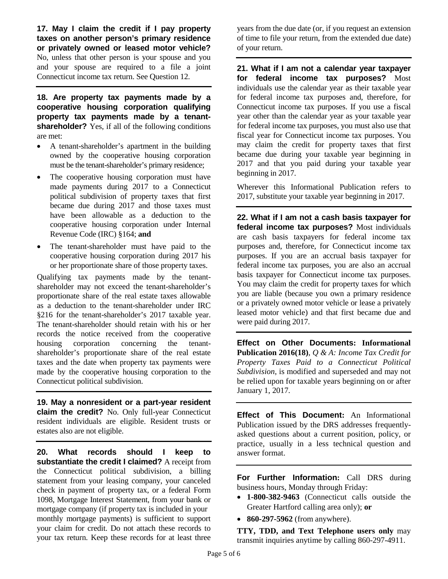**17. May I claim the credit if I pay property taxes on another person's primary residence or privately owned or leased motor vehicle?** No, unless that other person is your spouse and you and your spouse are required to a file a joint Connecticut income tax return. See Question 12.

**18. Are property tax payments made by a cooperative housing corporation qualifying property tax payments made by a tenantshareholder?** Yes, if all of the following conditions are met:

- A tenant-shareholder's apartment in the building owned by the cooperative housing corporation must be the tenant-shareholder's primary residence;
- The cooperative housing corporation must have made payments during 2017 to a Connecticut political subdivision of property taxes that first became due during 2017 and those taxes must have been allowable as a deduction to the cooperative housing corporation under Internal Revenue Code (IRC) §164; **and**
- The tenant-shareholder must have paid to the cooperative housing corporation during 2017 his or her proportionate share of those property taxes.

Qualifying tax payments made by the tenantshareholder may not exceed the tenant-shareholder's proportionate share of the real estate taxes allowable as a deduction to the tenant-shareholder under IRC §216 for the tenant-shareholder's 2017 taxable year. The tenant-shareholder should retain with his or her records the notice received from the cooperative housing corporation concerning the tenantshareholder's proportionate share of the real estate taxes and the date when property tax payments were made by the cooperative housing corporation to the Connecticut political subdivision.

**19. May a nonresident or a part-year resident claim the credit?** No. Only full-year Connecticut resident individuals are eligible. Resident trusts or estates also are not eligible.

**20. What records should I keep to substantiate the credit I claimed?** A receipt from the Connecticut political subdivision, a billing statement from your leasing company, your canceled check in payment of property tax, or a federal Form 1098, Mortgage Interest Statement, from your bank or mortgage company (if property tax is included in your monthly mortgage payments) is sufficient to support your claim for credit. Do not attach these records to your tax return. Keep these records for at least three years from the due date (or, if you request an extension of time to file your return, from the extended due date) of your return.

**21. What if I am not a calendar year taxpayer for federal income tax purposes?** Most individuals use the calendar year as their taxable year for federal income tax purposes and, therefore, for Connecticut income tax purposes. If you use a fiscal year other than the calendar year as your taxable year for federal income tax purposes, you must also use that fiscal year for Connecticut income tax purposes. You may claim the credit for property taxes that first became due during your taxable year beginning in 2017 and that you paid during your taxable year beginning in 2017.

Wherever this Informational Publication refers to 2017, substitute your taxable year beginning in 2017.

**22. What if I am not a cash basis taxpayer for federal income tax purposes?** Most individuals are cash basis taxpayers for federal income tax purposes and, therefore, for Connecticut income tax purposes. If you are an accrual basis taxpayer for federal income tax purposes, you are also an accrual basis taxpayer for Connecticut income tax purposes. You may claim the credit for property taxes for which you are liable (because you own a primary residence or a privately owned motor vehicle or lease a privately leased motor vehicle) and that first became due and were paid during 2017.

**Effect on Other Documents: Informational Publication 2016(18)**, *Q & A: Income Tax Credit for Property Taxes Paid to a Connecticut Political Subdivision*, is modified and superseded and may not be relied upon for taxable years beginning on or after January 1, 2017.

**Effect of This Document:** An Informational Publication issued by the DRS addresses frequentlyasked questions about a current position, policy, or practice, usually in a less technical question and answer format.

**For Further Information:** Call DRS during business hours, Monday through Friday:

- **1-800-382-9463** (Connecticut calls outside the Greater Hartford calling area only); **or**
- **860-297-5962** (from anywhere).

**TTY, TDD, and Text Telephone users only** may transmit inquiries anytime by calling 860-297-4911.